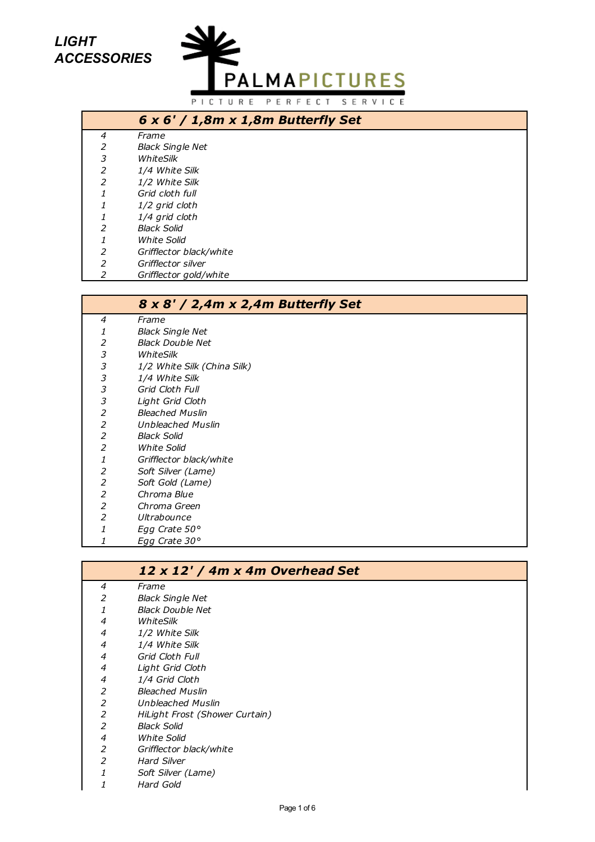| <b>SORIES</b>  | <b>PALMAPICTURES</b>                             |
|----------------|--------------------------------------------------|
|                | CTURE PERFECT SERV                               |
|                | $6 \times 6'$ / 1,8m $\times$ 1,8m Butterfly Set |
| $\overline{4}$ | Frame                                            |
| 2              | <b>Black Single Net</b>                          |
|                | WhiteSilk                                        |

*Black Single Net*

Ō

- *3 W*<br>2 *1/*
- *1/4 White Silk*
- *1/2 White Silk*
- *Grid cloth full*
- *1/2 grid cloth*
- *1/4 grid cloth*
- *Black Solid*
- *White Solid*
- *Grifflector black/white*
- *Grifflector silver*
- *Grifflector gold/white*

#### *8 x 8' / 2,4m x 2,4m Butterfly Set*

 *Frame Black Single Net Black Double Net WhiteSilk 1/2 White Silk (China Silk) 1/4 White Silk Grid Cloth Full Light Grid Cloth Bleached Muslin Unbleached Muslin Black Solid White Solid Grifflector black/white Soft Silver (Lame) Soft Gold (Lame) Chroma Blue Chroma Green Ultrabounce Egg Crate 50° Egg Crate 30°*

### *12 x 12' / 4m x 4m Overhead Set*

| 4              | Frame                          |
|----------------|--------------------------------|
| 2              | <b>Black Single Net</b>        |
| $\mathbf{1}$   | <b>Black Double Net</b>        |
| 4              | WhiteSilk                      |
| 4              | 1/2 White Silk                 |
| 4              | 1/4 White Silk                 |
| 4              | Grid Cloth Full                |
| 4              | Light Grid Cloth               |
| 4              | 1/4 Grid Cloth                 |
| 2              | <b>Bleached Muslin</b>         |
| $\overline{2}$ | Unbleached Muslin              |
| $\overline{2}$ | HiLight Frost (Shower Curtain) |
| 2              | Black Solid                    |
| 4              | White Solid                    |
| 2              | Grifflector black/white        |
| 2              | Hard Silver                    |
| $\mathbf{1}$   | Soft Silver (Lame)             |
| 1              | Hard Gold                      |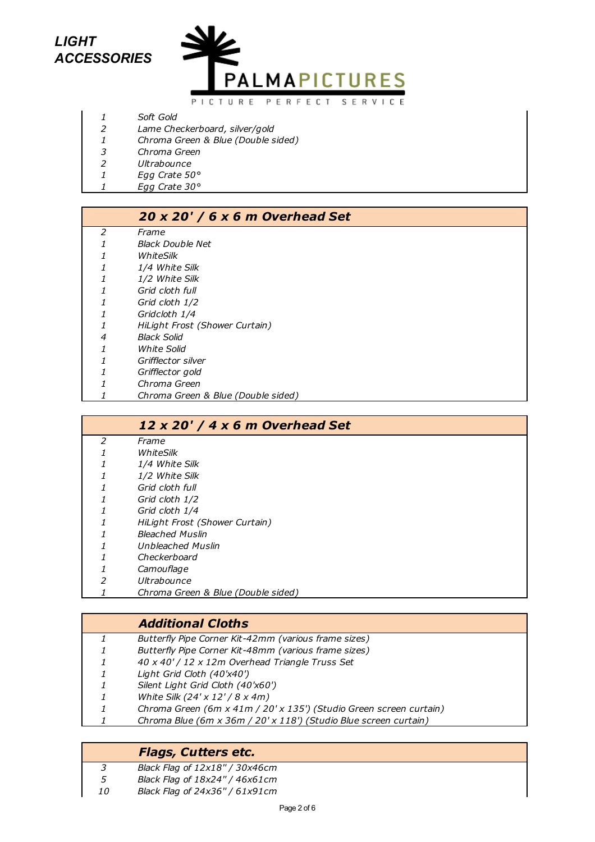

- *Soft Gold*
- *Lame Checkerboard, silver/gold*
- *Chroma Green & Blue (Double sided)*
- *Chroma Green*
- *Ultrabounce*
- *Egg Crate 50°*
- *Egg Crate 30°*

### *20 x 20' / 6 x 6 m Overhead Set*

- *Frame*
- *Black Double Net*
- *WhiteSilk*
- *1/4 White Silk*
- *1/2 White Silk*
- *Grid cloth full*
- *Grid cloth 1/2*
- *Gridcloth 1/4*
- *HiLight Frost (Shower Curtain)*
- *Black Solid*
- *White Solid*
- *Grifflector silver*
- *Grifflector gold*
- *Chroma Green*
- *Chroma Green & Blue (Double sided)*

#### *12 x 20' / 4 x 6 m Overhead Set*

- *Frame*
- *WhiteSilk*
- *1/4 White Silk*
- *1/2 White Silk*
- *Grid cloth full*
- *Grid cloth 1/2*
- *Grid cloth 1/4*
- *HiLight Frost (Shower Curtain)*
- *Bleached Muslin*
- *Unbleached Muslin*
- *Checkerboard*
- *Camouflage*
- *Ultrabounce*
- *Chroma Green & Blue (Double sided)*

#### *Additional Cloths*

- *Butterfly Pipe Corner Kit-42mm (various frame sizes) Butterfly Pipe Corner Kit-48mm (various frame sizes)*
- *40 x 40' / 12 x 12m Overhead Triangle Truss Set*
- *Light Grid Cloth (40'x40')*
- *Silent Light Grid Cloth (40'x60')*
- *White Silk (24' x 12' / 8 x 4m)*
- *Chroma Green (6m x 41m / 20' x 135') (Studio Green screen curtain)*
- *Chroma Blue (6m x 36m / 20' x 118') (Studio Blue screen curtain)*

### *Flags, Cutters etc.*

- *Black Flag of 12x18'' / 30x46cm*
- *Black Flag of 18x24'' / 46x61cm*
- *Black Flag of 24x36'' / 61x91cm*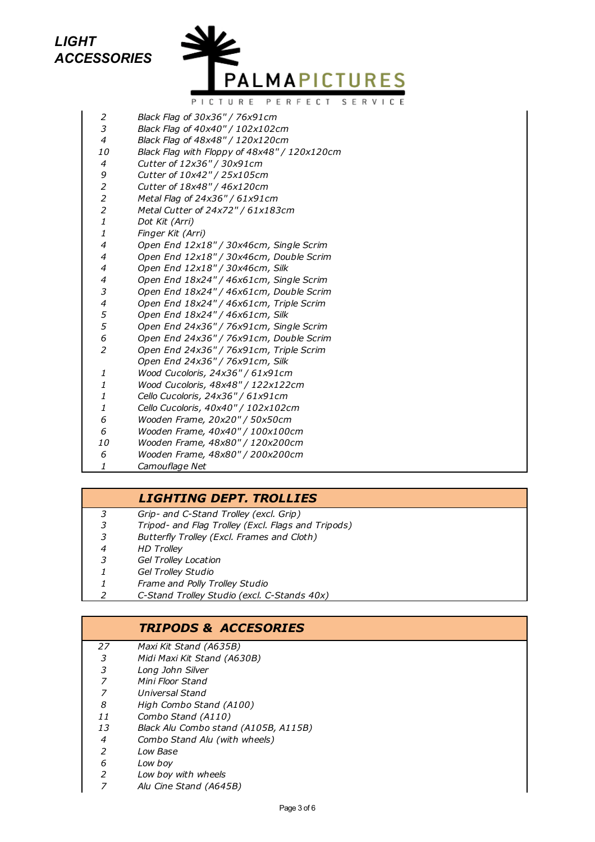*LIGHT*  **ACCESS** 

|                | <b>SORIES</b>                                |
|----------------|----------------------------------------------|
|                | PALMAPICTURES                                |
|                | PERFECT<br>SERVICE<br>PICTURE                |
| 2              | Black Flag of 30x36" / 76x91cm               |
| 3              | Black Flag of 40x40" / 102x102cm             |
| $\overline{4}$ | Black Flag of 48x48" / 120x120cm             |
| <i>10</i>      | Black Flag with Floppy of 48x48" / 120x120cm |
| $\overline{4}$ | Cutter of 12x36" / 30x91cm                   |
| 9              | Cutter of 10x42" / 25x105cm                  |
| 2              | Cutter of 18x48" / 46x120cm                  |
| $\overline{a}$ | Metal Flag of 24x36" / 61x91cm               |
| $\overline{a}$ | Metal Cutter of 24x72" / 61x183cm            |
| $\mathbf{1}$   | Dot Kit (Arri)                               |
| 1              | Finger Kit (Arri)                            |
| 4              | Open End 12x18" / 30x46cm, Single Scrim      |
| 4              | Open End 12x18" / 30x46cm, Double Scrim      |
| 4              | Open End 12x18" / 30x46cm, Silk              |
| 4              | Open End 18x24" / 46x61cm, Single Scrim      |
| 3              | Open End 18x24" / 46x61cm, Double Scrim      |
| 4              | Open End 18x24" / 46x61cm, Triple Scrim      |
| 5              | Open End 18x24" / 46x61cm, Silk              |
| 5              | Open End 24x36" / 76x91cm, Single Scrim      |
| 6              | Open End 24x36" / 76x91cm, Double Scrim      |
| $\overline{c}$ | Open End 24x36" / 76x91cm, Triple Scrim      |
|                | Open End 24x36" / 76x91cm, Silk              |
| 1              | Wood Cucoloris, 24x36" / 61x91cm             |
| $\mathbf{1}$   | Wood Cucoloris, 48x48" / 122x122cm           |
| 1              | Cello Cucoloris, 24x36" / 61x91cm            |
| 1              | Cello Cucoloris, 40x40" / 102x102cm          |
| 6              | Wooden Frame, 20x20" / 50x50cm               |
| 6              | Wooden Frame, 40x40" / 100x100cm             |
| <i>10</i>      | Wooden Frame, 48x80" / 120x200cm             |

SV.

- *Wooden Frame, 48x80'' / 200x200cm*
- *Camouflage Net*

### *LIGHTING DEPT. TROLLIES*

- *Grip- and C-Stand Trolley (excl. Grip)*
- *Tripod- and Flag Trolley (Excl. Flags and Tripods)*
- *Butterfly Trolley (Excl. Frames and Cloth)*
- *HD Trolley*
- *Gel Trolley Location*
- *Gel Trolley Studio*
- *Frame and Polly Trolley Studio*
- *C-Stand Trolley Studio (excl. C-Stands 40x)*

### *TRIPODS & ACCESORIES*

- *Maxi Kit Stand (A635B)*
- *Midi Maxi Kit Stand (A630B)*
- *Long John Silver*
- *Mini Floor Stand*
- *Universal Stand*
- *High Combo Stand (A100)*
- *Combo Stand (A110)*
- *Black Alu Combo stand (A105B, A115B)*
- *Combo Stand Alu (with wheels)*
- *Low Base*
- *Low boy*
- *Low boy with wheels*
- *Alu Cine Stand (A645B)*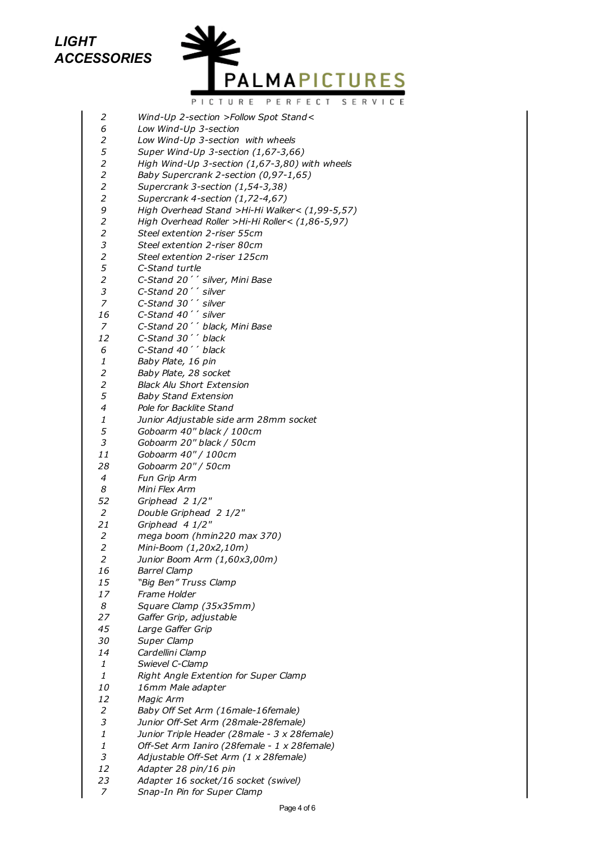## *LIGHT*  ACCESS

| SSORIES              |                                                                                         |
|----------------------|-----------------------------------------------------------------------------------------|
|                      | PALMAPICTURES                                                                           |
|                      | PERFECT<br>PICTURE<br>SERVICE                                                           |
| 2                    | Wind-Up 2-section >Follow Spot Stand<                                                   |
| 6                    | Low Wind-Up 3-section                                                                   |
| $\overline{c}$       | Low Wind-Up 3-section with wheels                                                       |
| 5<br>$\overline{a}$  | Super Wind-Up 3-section (1,67-3,66)                                                     |
| $\overline{a}$       | High Wind-Up 3-section (1,67-3,80) with wheels<br>Baby Supercrank 2-section (0,97-1,65) |
| $\overline{c}$       | Supercrank 3-section (1,54-3,38)                                                        |
| $\overline{a}$       | Supercrank 4-section (1,72-4,67)                                                        |
| 9                    | High Overhead Stand >Hi-Hi Walker< (1,99-5,57)                                          |
| $\overline{a}$       | High Overhead Roller >Hi-Hi Roller< (1,86-5,97)                                         |
| $\overline{a}$       | Steel extention 2-riser 55cm                                                            |
| 3                    | Steel extention 2-riser 80cm                                                            |
| $\overline{a}$<br>5  | Steel extention 2-riser 125cm                                                           |
| $\overline{c}$       | C-Stand turtle<br>C-Stand 20'' silver, Mini Base                                        |
| 3                    | C-Stand 20'' silver                                                                     |
| $\overline{z}$       | C-Stand 30'' silver                                                                     |
| 16                   | C-Stand 40'' silver                                                                     |
| $\overline{z}$       | C-Stand 20'' black, Mini Base                                                           |
| 12                   | C-Stand 30'' black                                                                      |
| 6                    | C-Stand 40'' black                                                                      |
| 1                    | Baby Plate, 16 pin                                                                      |
| $\overline{a}$<br>2  | Baby Plate, 28 socket<br><b>Black Alu Short Extension</b>                               |
| 5                    | <b>Baby Stand Extension</b>                                                             |
| $\overline{4}$       | Pole for Backlite Stand                                                                 |
| 1                    | Junior Adjustable side arm 28mm socket                                                  |
| 5                    | Goboarm 40" black / 100cm                                                               |
| 3                    | Goboarm 20" black / 50cm                                                                |
| 11                   | Goboarm 40" / 100cm                                                                     |
| 28                   | Goboarm 20" / 50cm                                                                      |
| 4                    | Fun Grip Arm                                                                            |
| 8                    | Mini Flex Arm                                                                           |
| 52<br>$\overline{2}$ | Griphead 2 1/2"<br>Double Griphead 2 1/2"                                               |
| 21                   | Griphead 4 1/2"                                                                         |
| $\overline{2}$       | mega boom (hmin220 max 370)                                                             |
| $\overline{2}$       | Mini-Boom (1,20x2,10m)                                                                  |
| $\overline{2}$       | Junior Boom Arm (1,60x3,00m)                                                            |
| 16                   | <b>Barrel Clamp</b>                                                                     |
| 15                   | "Big Ben" Truss Clamp                                                                   |
| 17                   | Frame Holder                                                                            |
| 8<br>27              | Square Clamp (35x35mm)<br>Gaffer Grip, adjustable                                       |
| 45                   | Large Gaffer Grip                                                                       |
| 30                   | Super Clamp                                                                             |
| 14                   | Cardellini Clamp                                                                        |
| 1                    | Swievel C-Clamp                                                                         |
| 1                    | Right Angle Extention for Super Clamp                                                   |
| 10                   | 16mm Male adapter                                                                       |
| 12                   | Magic Arm                                                                               |
| $\overline{2}$       | Baby Off Set Arm (16male-16female)                                                      |
| 3<br>$\mathbf{1}$    | Junior Off-Set Arm (28male-28female)<br>Junior Triple Header (28male - 3 x 28female)    |
| 1                    | Off-Set Arm Ianiro (28female - 1 x 28female)                                            |
| 3                    | Adjustable Off-Set Arm (1 x 28female)                                                   |
|                      |                                                                                         |

- *Adapter 28 pin/16 pin*
- *Adapter 16 socket/16 socket (swivel)*
- *Snap-In Pin for Super Clamp*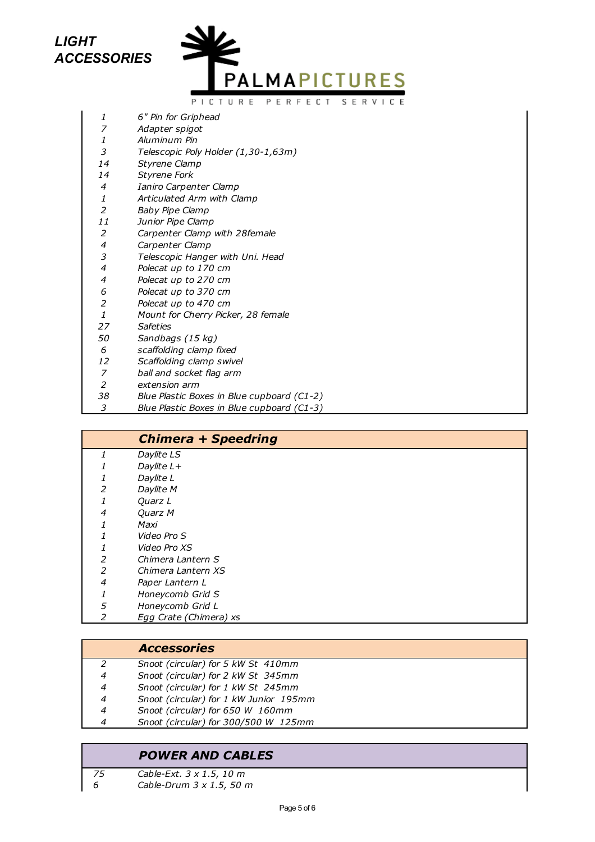|  | PALMAPICTURES |  |  |  |
|--|---------------|--|--|--|
|  |               |  |  |  |

PICTURE PERFECT SERVICE

- *6" Pin for Griphead*
- *Adapter spigot*
- *Aluminum Pin*
- *Telescopic Poly Holder (1,30-1,63m)*
- *Styrene Clamp*
- *Styrene Fork*
- *Ianiro Carpenter Clamp*
- *Articulated Arm with Clamp*
- *Baby Pipe Clamp*
- *Junior Pipe Clamp*
- *Carpenter Clamp with 28female*
- *Carpenter Clamp*
- *Telescopic Hanger with Uni. Head*
- *Polecat up to 170 cm*
- *Polecat up to 270 cm*
- *Polecat up to 370 cm*
- *Polecat up to 470 cm*
- *Mount for Cherry Picker, 28 female*
- *Safeties*
- *Sandbags (15 kg)*
- *scaffolding clamp fixed*
- *Scaffolding clamp swivel*
- *ball and socket flag arm*
- *extension arm*
- *Blue Plastic Boxes in Blue cupboard (C1-2)*
- *Blue Plastic Boxes in Blue cupboard (C1-3)*

|               | <b>Chimera + Speedring</b> |
|---------------|----------------------------|
|               | Daylite LS                 |
|               | Daylite L+                 |
|               | Daylite L                  |
| $\mathcal{P}$ | Daylite M                  |
|               | Quarz L                    |
| 4             | Quarz M                    |
|               | Maxi                       |
|               | Video Pro S                |
|               | Video Pro XS               |
| $\mathcal{P}$ | Chimera Lantern S          |
| 2             | Chimera Lantern XS         |
| 4             | Paper Lantern L            |
|               | Honeycomb Grid S           |
| 5             | Honeycomb Grid L           |
|               | Egg Crate (Chimera) xs     |

#### *Accessories*

- *Snoot (circular) for 5 kW St 410mm Snoot (circular) for 2 kW St 345mm Snoot (circular) for 1 kW St 245mm Snoot (circular) for 1 kW Junior 195mm*
	- *Snoot (circular) for 650 W 160mm*
	- *Snoot (circular) for 300/500 W 125mm*

### *POWER AND CABLES*

 *Cable-Ext. 3 x 1.5, 10 m Cable-Drum 3 x 1.5, 50 m*